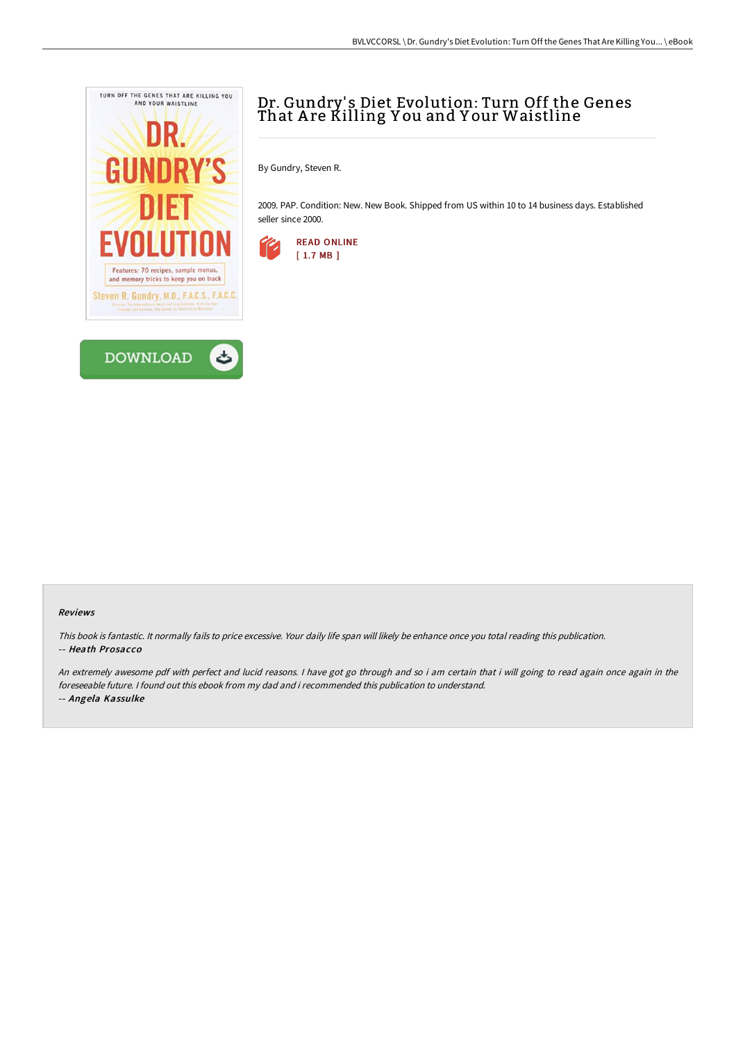



By Gundry, Steven R.

2009. PAP. Condition: New. New Book. Shipped from US within 10 to 14 business days. Established seller since 2000.



## Reviews

This book is fantastic. It normally fails to price excessive. Your daily life span will likely be enhance once you total reading this publication. -- Heath Prosacco

An extremely awesome pdf with perfect and lucid reasons. <sup>I</sup> have got go through and so i am certain that i will going to read again once again in the foreseeable future. I found out this ebook from my dad and i recommended this publication to understand. -- Angela Kassulke